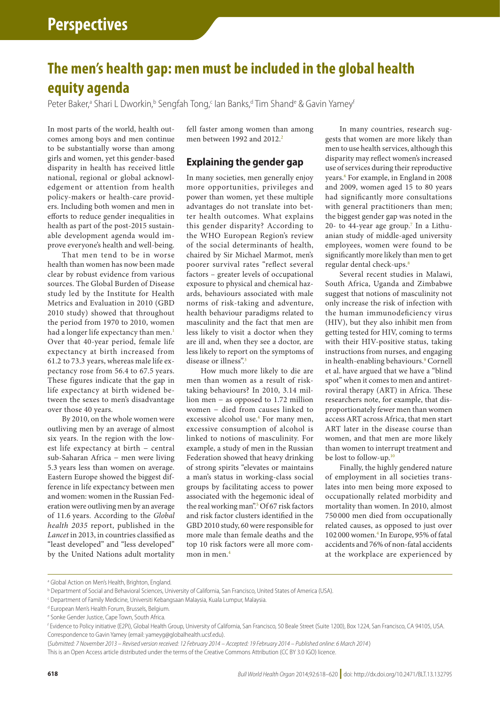# **The men's health gap: men must be included in the global health equity agenda**

Peter Baker,<sup>a</sup> Shari L Dworkin,<sup>b</sup> Sengfah Tong,<sup>c</sup> lan Banks,d Tim Shand<sup>e</sup> & Gavin Yamey'

In most parts of the world, health outcomes among boys and men continue to be substantially worse than among girls and women, yet this gender-based disparity in health has received little national, regional or global acknowledgement or attention from health policy-makers or health-care providers. Including both women and men in efforts to reduce gender inequalities in health as part of the post-2015 sustainable development agenda would improve everyone's health and well-being.

That men tend to be in worse health than women has now been made clear by robust evidence from various sources. The Global Burden of Disease study led by the Institute for Health Metrics and Evaluation in 2010 (GBD 2010 study) showed that throughout the period from 1970 to 2010, women had a longer life expectancy than men.<sup>1</sup> Over that 40-year period, female life expectancy at birth increased from 61.2 to 73.3 years, whereas male life expectancy rose from 56.4 to 67.5 years. These figures indicate that the gap in life expectancy at birth widened between the sexes to men's disadvantage over those 40 years.

By 2010, on the whole women were outliving men by an average of almost six years. In the region with the lowest life expectancy at birth − central sub-Saharan Africa − men were living 5.3 years less than women on average. Eastern Europe showed the biggest difference in life expectancy between men and women: women in the Russian Federation were outliving men by an average of 11.6 years. According to the *Global health 2035* report, published in the *Lancet* in 2013, in countries classified as "least developed" and "less developed" by the United Nations adult mortality fell faster among women than among men between 199[2](#page-2-1) and 2012.<sup>2</sup>

## **Explaining the gender gap**

In many societies, men generally enjoy more opportunities, privileges and power than women, yet these multiple advantages do not translate into better health outcomes. What explains this gender disparity? According to the WHO European Region's review of the social determinants of health, chaired by Sir Michael Marmot, men's poorer survival rates "reflect several factors – greater levels of occupational exposure to physical and chemical hazards, behaviours associated with male norms of risk-taking and adventure, health behaviour paradigms related to masculinity and the fact that men are less likely to visit a doctor when they are ill and, when they see a doctor, are less likely to report on the symptoms of disease or illness".<sup>[3](#page-2-2)</sup>

How much more likely to die are men than women as a result of risktaking behaviours? In 2010, 3.14 million men − as opposed to 1.72 million women - died from causes linked to excessive alcohol use.<sup>[4](#page-2-3)</sup> For many men, excessive consumption of alcohol is linked to notions of masculinity. For example, a study of men in the Russian Federation showed that heavy drinking of strong spirits "elevates or maintains a man's status in working-class social groups by facilitating access to power associated with the hegemonic ideal of the real working man".<sup>5</sup> Of 67 risk factors and risk factor clusters identified in the GBD 2010 study, 60 were responsible for more male than female deaths and the top 10 risk factors were all more common in men.[4](#page-2-3)

In many countries, research suggests that women are more likely than men to use health services, although this disparity may reflect women's increased use of services during their reproductive years.<sup>[6](#page-2-5)</sup> For example, in England in 2008 and 2009, women aged 15 to 80 years had significantly more consultations with general practitioners than men; the biggest gender gap was noted in the 20- to 44-year age group.<sup>[7](#page-2-6)</sup> In a Lithuanian study of middle-aged university employees, women were found to be significantly more likely than men to get regular dental check-ups[.8](#page-2-7)

Several recent studies in Malawi, South Africa, Uganda and Zimbabwe suggest that notions of masculinity not only increase the risk of infection with the human immunodeficiency virus (HIV), but they also inhibit men from getting tested for HIV, coming to terms with their HIV-positive status, taking instructions from nurses, and engaging in health-enabling behaviours.<sup>[9](#page-2-8)</sup> Cornell et al. have argued that we have a "blind spot" when it comes to men and antiretroviral therapy (ART) in Africa. These researchers note, for example, that disproportionately fewer men than women access ART across Africa, that men start ART later in the disease course than women, and that men are more likely than women to interrupt treatment and be lost to follow-up.<sup>[10](#page-2-9)</sup>

Finally, the highly gendered nature of employment in all societies translates into men being more exposed to occupationally related morbidity and mortality than women. In 2010, almost 750 000 men died from occupationally related causes, as opposed to just over 102 000 women.[4](#page-2-3) In Europe, 95% of fatal accidents and 76% of non-fatal accidents at the workplace are experienced by

<sup>&</sup>lt;sup>a</sup> Global Action on Men's Health, Brighton, England.

b Department of Social and Behavioral Sciences, University of California, San Francisco, United States of America (USA).

c Department of Family Medicine, Universiti Kebangsaan Malaysia, Kuala Lumpur, Malaysia.

<sup>&</sup>lt;sup>d</sup> European Men's Health Forum, Brussels, Belgium.

e Sonke Gender Justice, Cape Town, South Africa.

f Evidence to Policy initiative (E2Pi), Global Health Group, University of California, San Francisco, 50 Beale Street (Suite 1200), Box 1224, San Francisco, CA 94105, USA. Correspondence to Gavin Yamey (email: yameyg@globalhealth.ucsf.edu).

<sup>(</sup>*Submitted: 7 November 2013 – Revised version received: 12 February 2014 – Accepted: 19 February 2014 – Published online: 6 March 2014* )

This is an Open Access article distributed under the terms of the [Creative Commons Attribution \(CC BY 3.0 IGO\) licence.](https://creativecommons.org/licenses/by/3.0/igo/)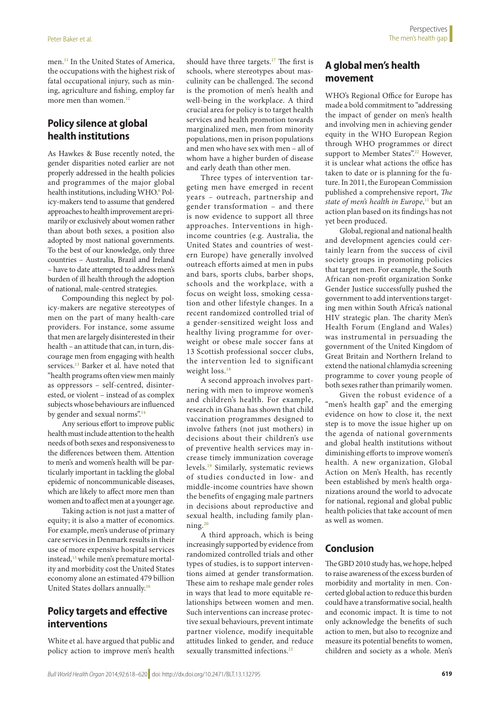men[.11](#page-2-10) In the United States of America, the occupations with the highest risk of fatal occupational injury, such as mining, agriculture and fishing, employ far more men than women.<sup>[12](#page-2-11)</sup>

## **Policy silence at global health institutions**

As Hawkes & Buse recently noted, the gender disparities noted earlier are not properly addressed in the health policies and programmes of the major global health institutions, including WHO.<sup>6</sup> Policy-makers tend to assume that gendered approaches to health improvement are primarily or exclusively about women rather than about both sexes, a position also adopted by most national governments. To the best of our knowledge, only three countries – Australia, Brazil and Ireland – have to date attempted to address men's burden of ill health through the adoption of national, male-centred strategies.

Compounding this neglect by policy-makers are negative stereotypes of men on the part of many health-care providers. For instance, some assume that men are largely disinterested in their health – an attitude that can, in turn, discourage men from engaging with health services.<sup>[13](#page-2-12)</sup> Barker et al. have noted that "health programs often view men mainly as oppressors – self-centred, disinterested, or violent – instead of as complex subjects whose behaviours are influenced by gender and sexual norms".<sup>[14](#page-2-13)</sup>

Any serious effort to improve public health must include attention to the health needs of both sexes and responsiveness to the differences between them. Attention to men's and women's health will be particularly important in tackling the global epidemic of noncommunicable diseases, which are likely to affect more men than women and to affect men at a younger age.

Taking action is not just a matter of equity; it is also a matter of economics. For example, men's underuse of primary care services in Denmark results in their use of more expensive hospital services instead,<sup>15</sup> while men's premature mortality and morbidity cost the United States economy alone an estimated 479 billion United States dollars annually.[16](#page-2-15)

## **Policy targets and effective interventions**

White et al. have argued that public and policy action to improve men's health should have three targets.<sup>17</sup> The first is schools, where stereotypes about masculinity can be challenged. The second is the promotion of men's health and well-being in the workplace. A third crucial area for policy is to target health services and health promotion towards marginalized men, men from minority populations, men in prison populations and men who have sex with men – all of whom have a higher burden of disease and early death than other men.

Three types of intervention targeting men have emerged in recent years – outreach, partnership and gender transformation – and there is now evidence to support all three approaches. Interventions in highincome countries (e.g. Australia, the United States and countries of western Europe) have generally involved outreach efforts aimed at men in pubs and bars, sports clubs, barber shops, schools and the workplace, with a focus on weight loss, smoking cessation and other lifestyle changes. In a recent randomized controlled trial of a gender-sensitized weight loss and healthy living programme for overweight or obese male soccer fans at 13 Scottish professional soccer clubs, the intervention led to significant weight loss.<sup>18</sup>

A second approach involves partnering with men to improve women's and children's health. For example, research in Ghana has shown that child vaccination programmes designed to involve fathers (not just mothers) in decisions about their children's use of preventive health services may increase timely immunization coverage levels.[19](#page-2-18) Similarly, systematic reviews of studies conducted in low- and middle-income countries have shown the benefits of engaging male partners in decisions about reproductive and sexual health, including family planning.[20](#page-2-19)

A third approach, which is being increasingly supported by evidence from randomized controlled trials and other types of studies, is to support interventions aimed at gender transformation. These aim to reshape male gender roles in ways that lead to more equitable relationships between women and men. Such interventions can increase protective sexual behaviours, prevent intimate partner violence, modify inequitable attitudes linked to gender, and reduce sexually transmitted infections.<sup>[21](#page-2-20)</sup>

### **A global men's health movement**

WHO's Regional Office for Europe has made a bold commitment to "addressing the impact of gender on men's health and involving men in achieving gender equity in the WHO European Region through WHO programmes or direct support to Member States".<sup>[22](#page-2-21)</sup> However, it is unclear what actions the office has taken to date or is planning for the future. In 2011, the European Commission published a comprehensive report, *The state of men's health in Europe*, [11](#page-2-10) but an action plan based on its findings has not yet been produced.

Global, regional and national health and development agencies could certainly learn from the success of civil society groups in promoting policies that target men. For example, the South African non-profit organization Sonke Gender Justice successfully pushed the government to add interventions targeting men within South Africa's national HIV strategic plan. The charity Men's Health Forum (England and Wales) was instrumental in persuading the government of the United Kingdom of Great Britain and Northern Ireland to extend the national chlamydia screening programme to cover young people of both sexes rather than primarily women.

Given the robust evidence of a "men's health gap" and the emerging evidence on how to close it, the next step is to move the issue higher up on the agenda of national governments and global health institutions without diminishing efforts to improve women's health. A new organization, Global Action on Men's Health, has recently been established by men's health organizations around the world to advocate for national, regional and global public health policies that take account of men as well as women.

### **Conclusion**

The GBD 2010 study has, we hope, helped to raise awareness of the excess burden of morbidity and mortality in men. Concerted global action to reduce this burden could have a transformative social, health and economic impact. It is time to not only acknowledge the benefits of such action to men, but also to recognize and measure its potential benefits to women, children and society as a whole. Men's